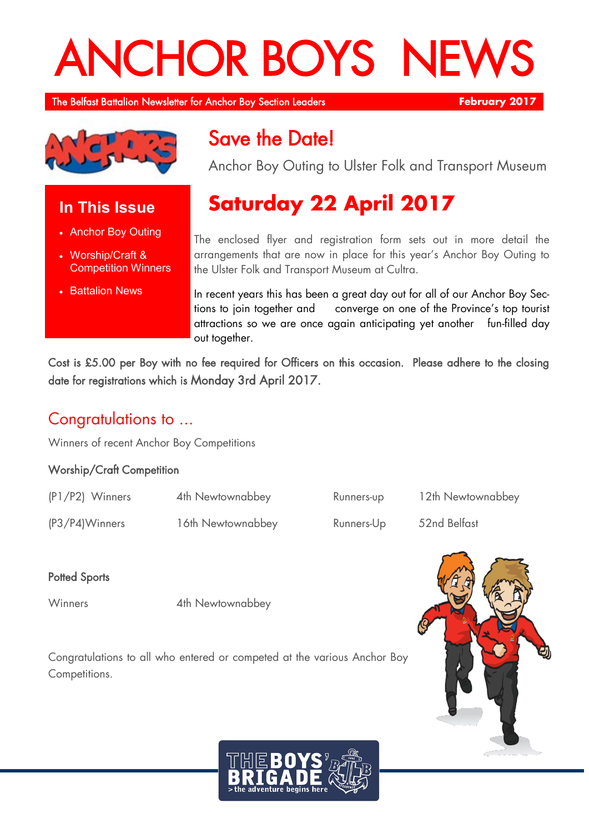# **ANCHOR BOYS NE**

The Belfast Battalion Newsletter for Anchor Boy Section Leaders **February 2017** 



## **In This Issue**

- Anchor Boy Outing
- Worship/Craft & Competition Winners
- **Battalion News**

## Save the Date!

Anchor Boy Outing to Ulster Folk and Transport Museum

# **Saturday 22 April 2017**

The enclosed flyer and registration form sets out in more detail the arrangements that are now in place for this year's Anchor Boy Outing to the Ulster Folk and Transport Museum at Cultra.

In recent years this has been a great day out for all of our Anchor Boy Sections to join together and converge on one of the Province's top tourist attractions so we are once again anticipating yet another fun-filled day out together.

Cost is £5.00 per Boy with no fee required for Officers on this occasion. Please adhere to the closing date for registrations which is Monday 3rd April 2017.

## Congratulations to ...

Winners of recent Anchor Boy Competitions

#### Worship/Craft Competition

| (P1/P2) Winners | 4th Newtownabbey  | Runners-up | 12th Newtownabbey |
|-----------------|-------------------|------------|-------------------|
| (P3/P4)Winners  | 16th Newtownabbey | Runners-Up | 52nd Belfast      |

## **Potted Sports**

Winners 4th Newtownabbey

Congratulations to all who entered or competed at the various Anchor Boy Competitions.